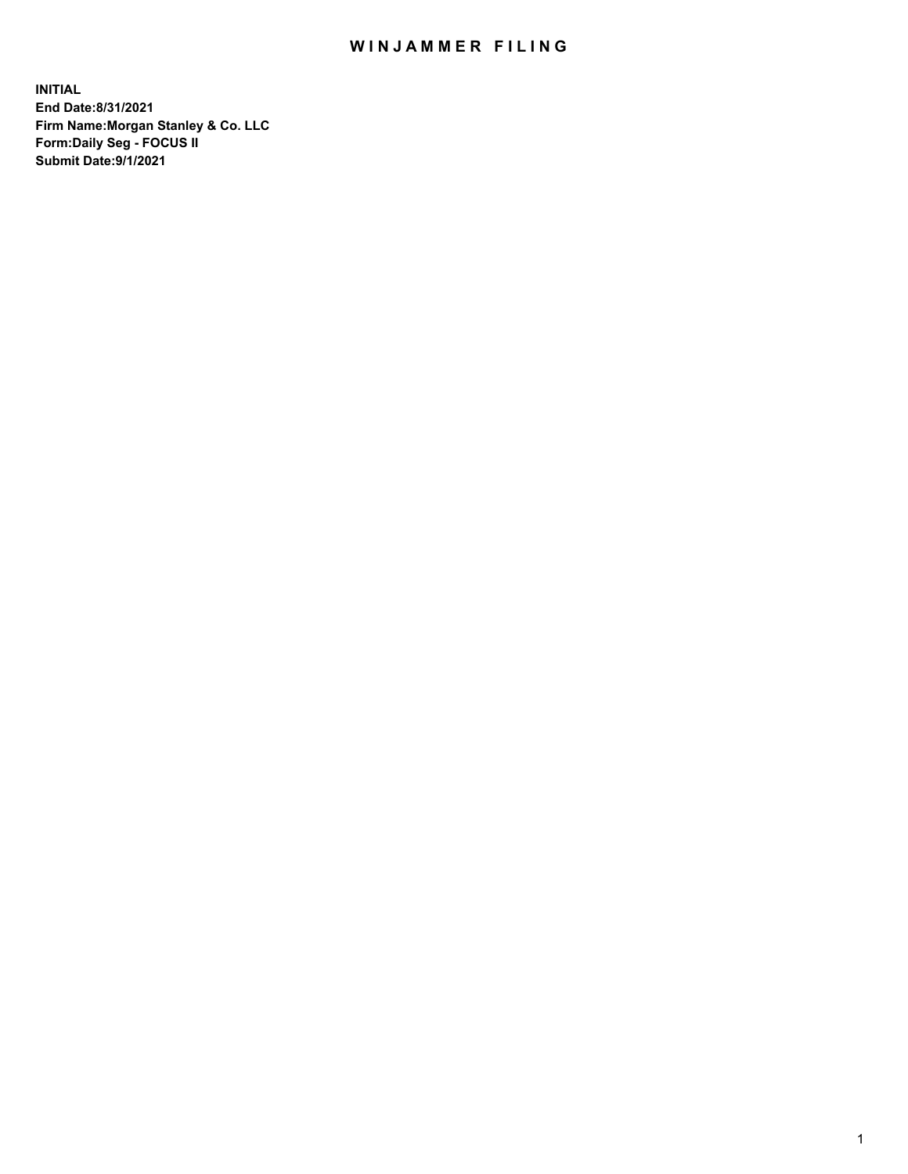## WIN JAMMER FILING

**INITIAL End Date:8/31/2021 Firm Name:Morgan Stanley & Co. LLC Form:Daily Seg - FOCUS II Submit Date:9/1/2021**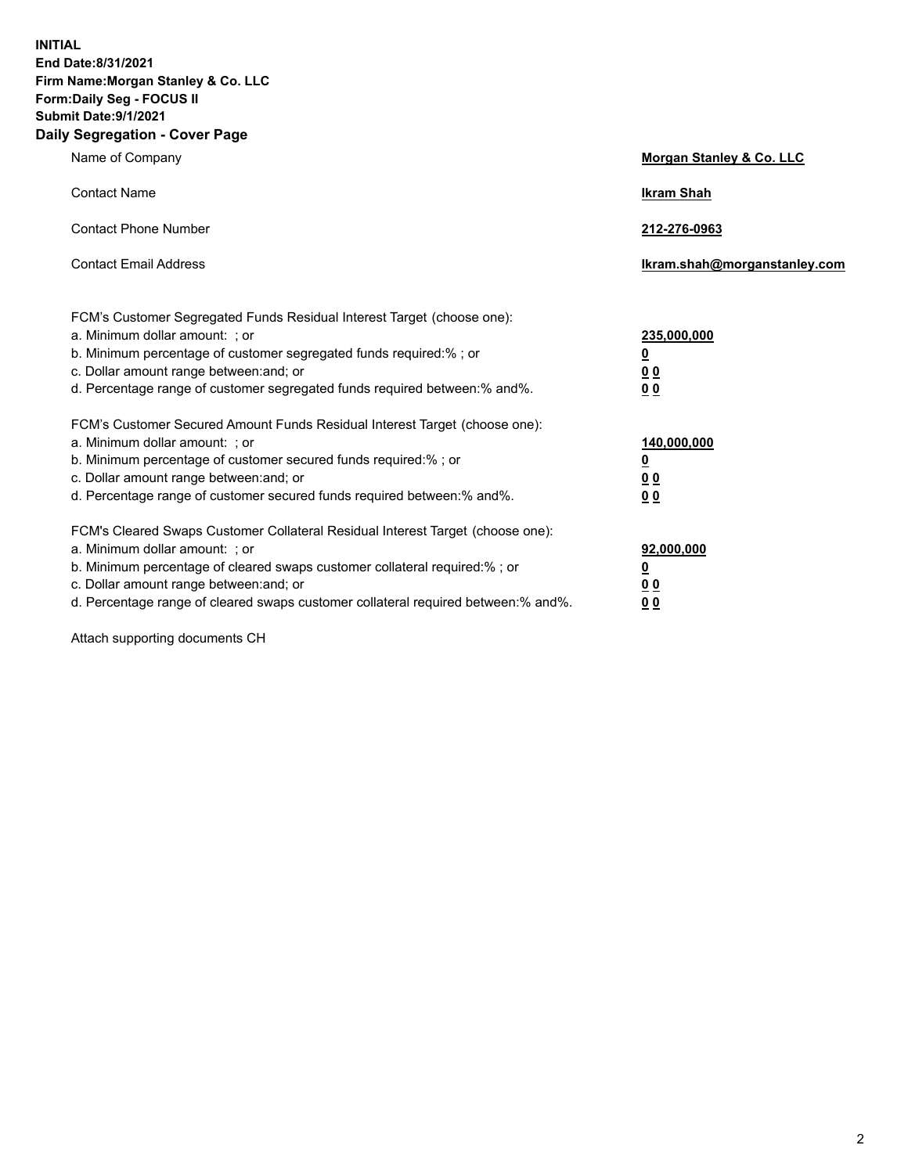**INITIAL End Date:8/31/2021 Firm Name:Morgan Stanley & Co. LLC Form:Daily Seg - FOCUS II Submit Date:9/1/2021 Daily Segregation - Cover Page**

| Name of Company                                                                                                                                                                                                                                                                                                                | Morgan Stanley & Co. LLC                                    |
|--------------------------------------------------------------------------------------------------------------------------------------------------------------------------------------------------------------------------------------------------------------------------------------------------------------------------------|-------------------------------------------------------------|
| <b>Contact Name</b>                                                                                                                                                                                                                                                                                                            | <b>Ikram Shah</b>                                           |
| <b>Contact Phone Number</b>                                                                                                                                                                                                                                                                                                    | 212-276-0963                                                |
| <b>Contact Email Address</b>                                                                                                                                                                                                                                                                                                   | Ikram.shah@morganstanley.com                                |
| FCM's Customer Segregated Funds Residual Interest Target (choose one):<br>a. Minimum dollar amount: ; or<br>b. Minimum percentage of customer segregated funds required:% ; or<br>c. Dollar amount range between: and; or<br>d. Percentage range of customer segregated funds required between:% and%.                         | 235,000,000<br><u>0</u><br>0 Q<br>0 <sub>0</sub>            |
| FCM's Customer Secured Amount Funds Residual Interest Target (choose one):<br>a. Minimum dollar amount: : or<br>b. Minimum percentage of customer secured funds required:%; or<br>c. Dollar amount range between: and; or<br>d. Percentage range of customer secured funds required between:% and%.                            | 140,000,000<br><u>0</u><br>0 <sub>0</sub><br>0 <sub>0</sub> |
| FCM's Cleared Swaps Customer Collateral Residual Interest Target (choose one):<br>a. Minimum dollar amount: ; or<br>b. Minimum percentage of cleared swaps customer collateral required:% ; or<br>c. Dollar amount range between: and; or<br>d. Percentage range of cleared swaps customer collateral required between:% and%. | 92,000,000<br><u>0</u><br>0 Q<br>0 <sub>0</sub>             |

Attach supporting documents CH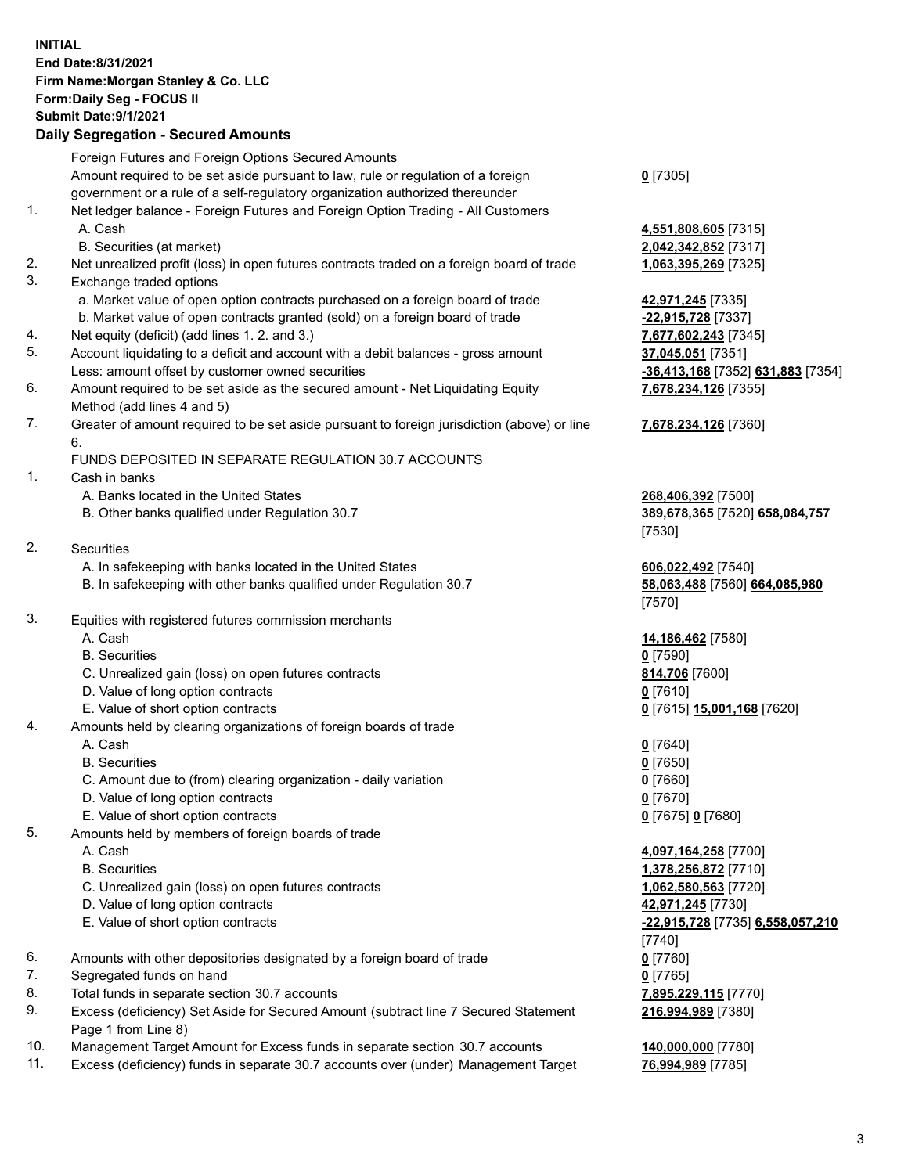## **INITIAL End Date:8/31/2021 Firm Name:Morgan Stanley & Co. LLC Form:Daily Seg - FOCUS II Submit Date:9/1/2021 Daily Segregation - Secured Amounts** Foreign Futures and Foreign Options Secured Amounts Amount required to be set aside pursuant to law, rule or regulation of a foreign government or a rule of a self-regulatory organization authorized thereunder **0** [7305] 1. Net ledger balance - Foreign Futures and Foreign Option Trading - All Customers A. Cash **4,551,808,605** [7315] B. Securities (at market) **2,042,342,852** [7317] 2. Net unrealized profit (loss) in open futures contracts traded on a foreign board of trade **1,063,395,269** [7325] 3. Exchange traded options a. Market value of open option contracts purchased on a foreign board of trade **42,971,245** [7335] b. Market value of open contracts granted (sold) on a foreign board of trade **-22,915,728** [7337] 4. Net equity (deficit) (add lines 1. 2. and 3.) **7,677,602,243** [7345] 5. Account liquidating to a deficit and account with a debit balances - gross amount **37,045,051** [7351] Less: amount offset by customer owned securities **-36,413,168** [7352] **631,883** [7354] 6. Amount required to be set aside as the secured amount - Net Liquidating Equity Method (add lines 4 and 5) **7,678,234,126** [7355] 7. Greater of amount required to be set aside pursuant to foreign jurisdiction (above) or line 6. **7,678,234,126** [7360] FUNDS DEPOSITED IN SEPARATE REGULATION 30.7 ACCOUNTS 1. Cash in banks A. Banks located in the United States **268,406,392** [7500] B. Other banks qualified under Regulation 30.7 **389,678,365** [7520] **658,084,757** [7530] 2. Securities A. In safekeeping with banks located in the United States **606,022,492** [7540] B. In safekeeping with other banks qualified under Regulation 30.7 **58,063,488** [7560] **664,085,980** [7570] 3. Equities with registered futures commission merchants A. Cash **14,186,462** [7580] B. Securities **0** [7590] C. Unrealized gain (loss) on open futures contracts **814,706** [7600] D. Value of long option contracts **0** [7610] E. Value of short option contracts **0** [7615] **15,001,168** [7620] 4. Amounts held by clearing organizations of foreign boards of trade A. Cash **0** [7640] B. Securities **0** [7650] C. Amount due to (from) clearing organization - daily variation **0** [7660] D. Value of long option contracts **0** [7670] E. Value of short option contracts **0** [7675] **0** [7680] 5. Amounts held by members of foreign boards of trade A. Cash **4,097,164,258** [7700] B. Securities **1,378,256,872** [7710] C. Unrealized gain (loss) on open futures contracts **1,062,580,563** [7720] D. Value of long option contracts **42,971,245** [7730] E. Value of short option contracts **-22,915,728** [7735] **6,558,057,210** [7740] 6. Amounts with other depositories designated by a foreign board of trade **0** [7760] 7. Segregated funds on hand **0** [7765] 8. Total funds in separate section 30.7 accounts **7,895,229,115** [7770] 9. Excess (deficiency) Set Aside for Secured Amount (subtract line 7 Secured Statement Page 1 from Line 8) **216,994,989** [7380]

- 10. Management Target Amount for Excess funds in separate section 30.7 accounts **140,000,000** [7780]
- 11. Excess (deficiency) funds in separate 30.7 accounts over (under) Management Target **76,994,989** [7785]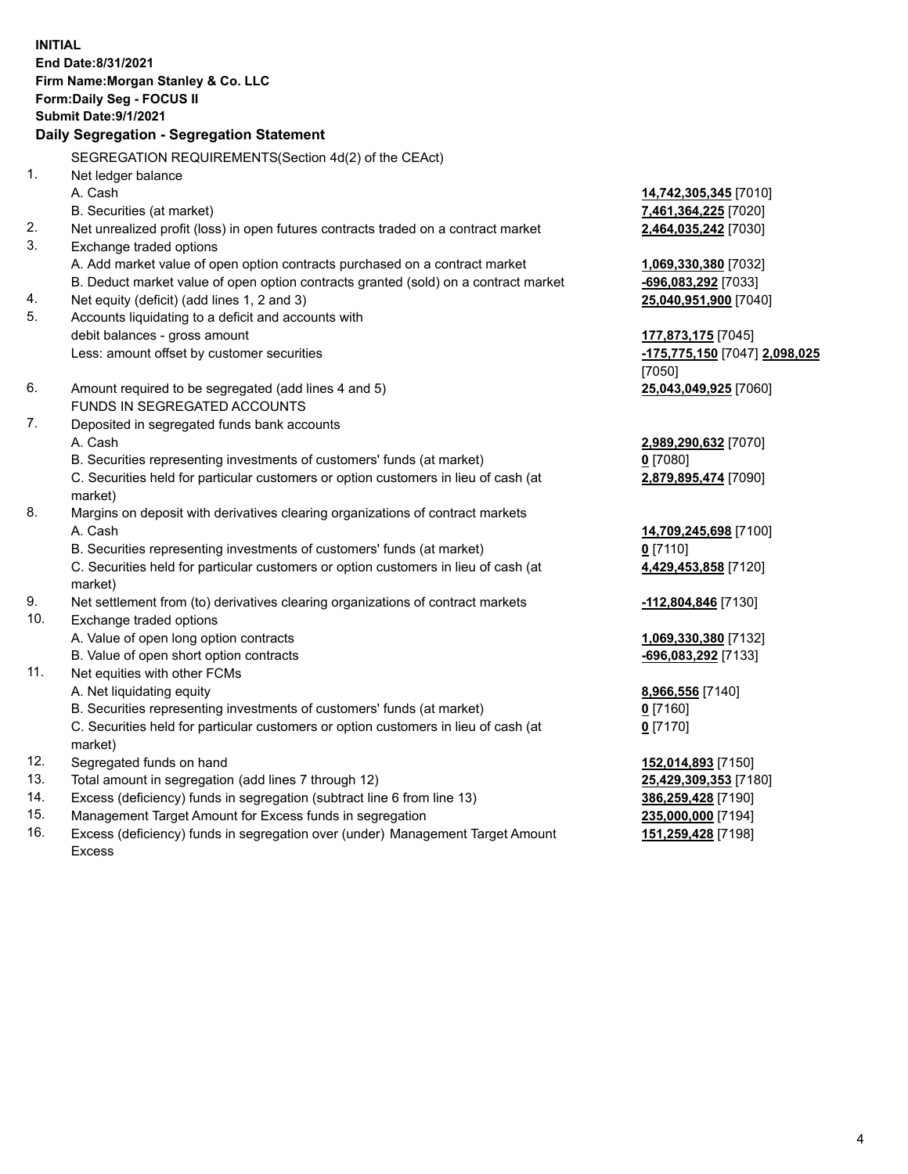**INITIAL End Date:8/31/2021 Firm Name:Morgan Stanley & Co. LLC Form:Daily Seg - FOCUS II Submit Date:9/1/2021 Daily Segregation - Segregation Statement** SEGREGATION REQUIREMENTS(Section 4d(2) of the CEAct) 1. Net ledger balance A. Cash **14,742,305,345** [7010] B. Securities (at market) **7,461,364,225** [7020] 2. Net unrealized profit (loss) in open futures contracts traded on a contract market **2,464,035,242** [7030] 3. Exchange traded options A. Add market value of open option contracts purchased on a contract market **1,069,330,380** [7032] B. Deduct market value of open option contracts granted (sold) on a contract market **-696,083,292** [7033] 4. Net equity (deficit) (add lines 1, 2 and 3) **25,040,951,900** [7040] 5. Accounts liquidating to a deficit and accounts with debit balances - gross amount **177,873,175** [7045] Less: amount offset by customer securities **-175,775,150** [7047] **2,098,025** [7050] 6. Amount required to be segregated (add lines 4 and 5) **25,043,049,925** [7060] FUNDS IN SEGREGATED ACCOUNTS 7. Deposited in segregated funds bank accounts A. Cash **2,989,290,632** [7070] B. Securities representing investments of customers' funds (at market) **0** [7080] C. Securities held for particular customers or option customers in lieu of cash (at market) **2,879,895,474** [7090] 8. Margins on deposit with derivatives clearing organizations of contract markets A. Cash **14,709,245,698** [7100] B. Securities representing investments of customers' funds (at market) **0** [7110] C. Securities held for particular customers or option customers in lieu of cash (at market) **4,429,453,858** [7120] 9. Net settlement from (to) derivatives clearing organizations of contract markets **-112,804,846** [7130] 10. Exchange traded options A. Value of open long option contracts **1,069,330,380** [7132] B. Value of open short option contracts **-696,083,292** [7133] 11. Net equities with other FCMs A. Net liquidating equity **8,966,556** [7140] B. Securities representing investments of customers' funds (at market) **0** [7160] C. Securities held for particular customers or option customers in lieu of cash (at market) **0** [7170] 12. Segregated funds on hand **152,014,893** [7150] 13. Total amount in segregation (add lines 7 through 12) **25,429,309,353** [7180] 14. Excess (deficiency) funds in segregation (subtract line 6 from line 13) **386,259,428** [7190] 15. Management Target Amount for Excess funds in segregation **235,000,000** [7194]

16. Excess (deficiency) funds in segregation over (under) Management Target Amount Excess

**151,259,428** [7198]